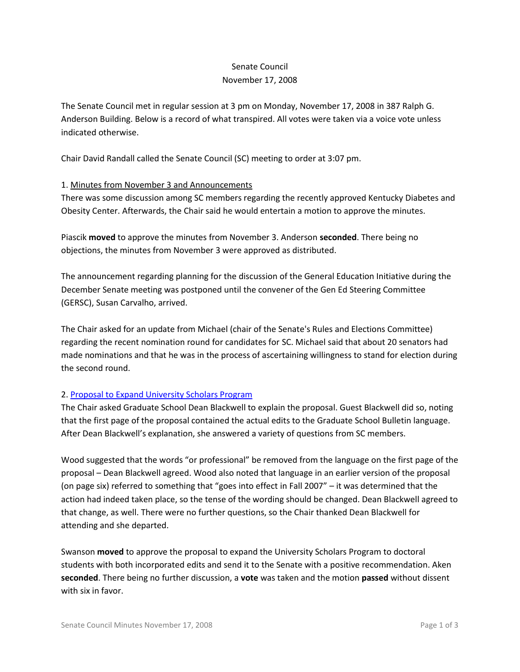# Senate Council November 17, 2008

The Senate Council met in regular session at 3 pm on Monday, November 17, 2008 in 387 Ralph G. Anderson Building. Below is a record of what transpired. All votes were taken via a voice vote unless indicated otherwise.

Chair David Randall called the Senate Council (SC) meeting to order at 3:07 pm.

## 1. Minutes from November 3 and Announcements

There was some discussion among SC members regarding the recently approved Kentucky Diabetes and Obesity Center. Afterwards, the Chair said he would entertain a motion to approve the minutes.

Piascik **moved** to approve the minutes from November 3. Anderson **seconded**. There being no objections, the minutes from November 3 were approved as distributed.

The announcement regarding planning for the discussion of the General Education Initiative during the December Senate meeting was postponed until the convener of the Gen Ed Steering Committee (GERSC), Susan Carvalho, arrived.

The Chair asked for an update from Michael (chair of the Senate's Rules and Elections Committee) regarding the recent nomination round for candidates for SC. Michael said that about 20 senators had made nominations and that he was in the process of ascertaining willingness to stand for election during the second round.

## 2. [Proposal to Expand University Scholars Program](http://www.uky.edu/USC/New/files/Expand%20USP%20to%20Doc%20Students_Complete_rev.pdf)

The Chair asked Graduate School Dean Blackwell to explain the proposal. Guest Blackwell did so, noting that the first page of the proposal contained the actual edits to the Graduate School Bulletin language. After Dean Blackwell's explanation, she answered a variety of questions from SC members.

Wood suggested that the words "or professional" be removed from the language on the first page of the proposal – Dean Blackwell agreed. Wood also noted that language in an earlier version of the proposal (on page six) referred to something that "goes into effect in Fall 2007" – it was determined that the action had indeed taken place, so the tense of the wording should be changed. Dean Blackwell agreed to that change, as well. There were no further questions, so the Chair thanked Dean Blackwell for attending and she departed.

Swanson **moved** to approve the proposal to expand the University Scholars Program to doctoral students with both incorporated edits and send it to the Senate with a positive recommendation. Aken **seconded**. There being no further discussion, a **vote** was taken and the motion **passed** without dissent with six in favor.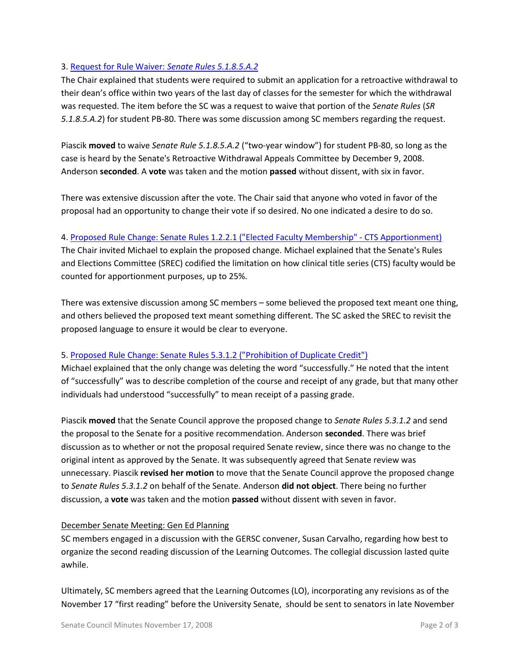## 3. [Request for Rule Waiver:](http://www.uky.edu/USC/New/files/RWA%20Waiver%20PB-80.pdf) *Senate Rules 5.1.8.5.A.2*

The Chair explained that students were required to submit an application for a retroactive withdrawal to their dean's office within two years of the last day of classes for the semester for which the withdrawal was requested. The item before the SC was a request to waive that portion of the *Senate Rules* (*SR 5.1.8.5.A.2*) for student PB-80. There was some discussion among SC members regarding the request.

Piascik **moved** to waive *Senate Rule 5.1.8.5.A.2* ("two-year window") for student PB-80, so long as the case is heard by the Senate's Retroactive Withdrawal Appeals Committee by December 9, 2008. Anderson **seconded**. A **vote** was taken and the motion **passed** without dissent, with six in favor.

There was extensive discussion after the vote. The Chair said that anyone who voted in favor of the proposal had an opportunity to change their vote if so desired. No one indicated a desire to do so.

## 4. [Proposed Rule Change: Senate Rules 1.2.2.1 \("Elected Faculty Membership" -](http://www.uky.edu/USC/New/files/minutes20080924_CTS.pdf) CTS Apportionment)

The Chair invited Michael to explain the proposed change. Michael explained that the Senate's Rules and Elections Committee (SREC) codified the limitation on how clinical title series (CTS) faculty would be counted for apportionment purposes, up to 25%.

There was extensive discussion among SC members – some believed the proposed text meant one thing, and others believed the proposed text meant something different. The SC asked the SREC to revisit the proposed language to ensure it would be clear to everyone.

## 5. [Proposed Rule Change: Senate Rules 5.3.1.2 \("Prohibition of Duplicate Credit"\)](http://www.uky.edu/USC/New/files/minutes20080924_duplicate%20credit%20rule.pdf)

Michael explained that the only change was deleting the word "successfully." He noted that the intent of "successfully" was to describe completion of the course and receipt of any grade, but that many other individuals had understood "successfully" to mean receipt of a passing grade.

Piascik **moved** that the Senate Council approve the proposed change to *Senate Rules 5.3.1.2* and send the proposal to the Senate for a positive recommendation. Anderson **seconded**. There was brief discussion as to whether or not the proposal required Senate review, since there was no change to the original intent as approved by the Senate. It was subsequently agreed that Senate review was unnecessary. Piascik **revised her motion** to move that the Senate Council approve the proposed change to *Senate Rules 5.3.1.2* on behalf of the Senate. Anderson **did not object**. There being no further discussion, a **vote** was taken and the motion **passed** without dissent with seven in favor.

## December Senate Meeting: Gen Ed Planning

SC members engaged in a discussion with the GERSC convener, Susan Carvalho, regarding how best to organize the second reading discussion of the Learning Outcomes. The collegial discussion lasted quite awhile.

Ultimately, SC members agreed that the Learning Outcomes (LO), incorporating any revisions as of the November 17 "first reading" before the University Senate, should be sent to senators in late November